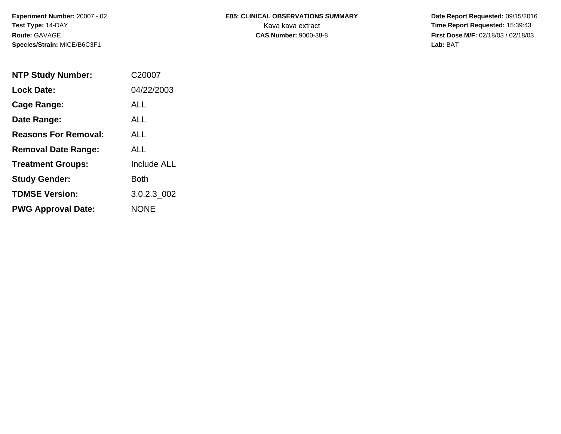# **E05: CLINICAL OBSERVATIONS SUMMARY**

 **Date Report Requested:** 09/15/2016 Kava kava extract **Time Report Requested:** 15:39:43<br>**CAS Number:** 9000-38-8 **Time Report Requested:** 15:39:43 **First Dose M/F:** 02/18/03 / 02/18/03<br>Lab: BAT **Lab:** BAT

| <b>NTP Study Number:</b>    | C <sub>20007</sub> |
|-----------------------------|--------------------|
| <b>Lock Date:</b>           | 04/22/2003         |
| Cage Range:                 | ALL                |
| Date Range:                 | AI I               |
| <b>Reasons For Removal:</b> | ALL.               |
| <b>Removal Date Range:</b>  | ALL                |
| <b>Treatment Groups:</b>    | <b>Include ALL</b> |
| <b>Study Gender:</b>        | Both               |
| <b>TDMSE Version:</b>       | 3.0.2.3 002        |
| <b>PWG Approval Date:</b>   | <b>NONE</b>        |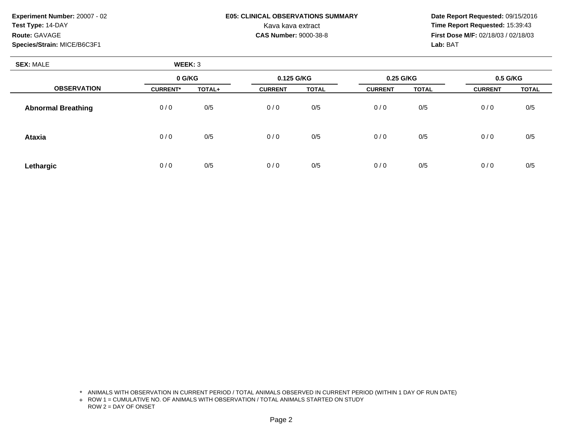## **E05: CLINICAL OBSERVATIONS SUMMARY**

 **Date Report Requested:** 09/15/2016 Kava kava extract **Time Report Requested:** 15:39:43<br>**CAS Number:** 9000-38-8 **Time Report Requested:** 15:39:43 **First Dose M/F:** 02/18/03 / 02/18/03<br>Lab: BAT **Lab:** BAT

| <b>SEX: MALE</b>          | WEEK: 3         |        |                |              |                |              |                |              |
|---------------------------|-----------------|--------|----------------|--------------|----------------|--------------|----------------|--------------|
|                           | 0 G/KG          |        | 0.125 G/KG     |              | 0.25 G/KG      |              | 0.5 G/KG       |              |
| <b>OBSERVATION</b>        | <b>CURRENT*</b> | TOTAL+ | <b>CURRENT</b> | <b>TOTAL</b> | <b>CURRENT</b> | <b>TOTAL</b> | <b>CURRENT</b> | <b>TOTAL</b> |
| <b>Abnormal Breathing</b> | 0/0             | 0/5    | 0/0            | 0/5          | 0/0            | 0/5          | 0/0            | 0/5          |
| <b>Ataxia</b>             | 0/0             | 0/5    | 0/0            | 0/5          | 0/0            | 0/5          | 0/0            | 0/5          |
| Lethargic                 | 0/0             | 0/5    | 0/0            | 0/5          | 0/0            | 0/5          | 0/0            | 0/5          |

\* ANIMALS WITH OBSERVATION IN CURRENT PERIOD / TOTAL ANIMALS OBSERVED IN CURRENT PERIOD (WITHIN 1 DAY OF RUN DATE)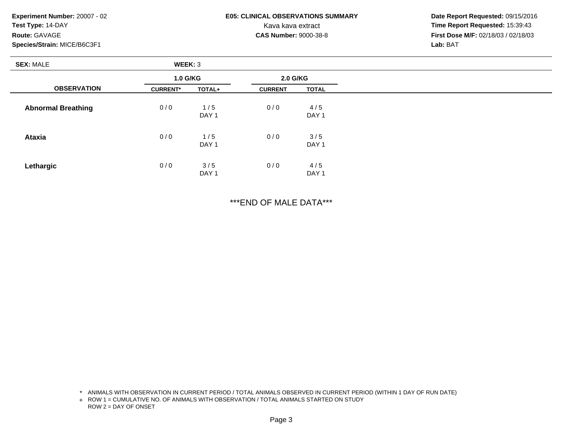### **E05: CLINICAL OBSERVATIONS SUMMARY**

 **Date Report Requested:** 09/15/2016 Kava kava extract **Time Report Requested:** 15:39:43<br>**CAS Number:** 9000-38-8 **Time Report Requested:** 15:39:43 **First Dose M/F:** 02/18/03 / 02/18/03<br>Lab: BAT **Lab:** BAT

| <b>SEX: MALE</b>          | WEEK: 3         |                         |                |                         |  |  |
|---------------------------|-----------------|-------------------------|----------------|-------------------------|--|--|
|                           | 1.0 G/KG        |                         | 2.0 G/KG       |                         |  |  |
| <b>OBSERVATION</b>        | <b>CURRENT*</b> | TOTAL+                  | <b>CURRENT</b> | <b>TOTAL</b>            |  |  |
| <b>Abnormal Breathing</b> | 0/0             | 1/5<br>DAY <sub>1</sub> | 0/0            | 4/5<br>DAY <sub>1</sub> |  |  |
| <b>Ataxia</b>             | 0/0             | 1/5<br>DAY <sub>1</sub> | 0/0            | 3/5<br>DAY <sub>1</sub> |  |  |
| Lethargic                 | 0/0             | 3/5<br>DAY <sub>1</sub> | 0/0            | 4/5<br>DAY 1            |  |  |

\*\*\*END OF MALE DATA\*\*\*

\* ANIMALS WITH OBSERVATION IN CURRENT PERIOD / TOTAL ANIMALS OBSERVED IN CURRENT PERIOD (WITHIN 1 DAY OF RUN DATE)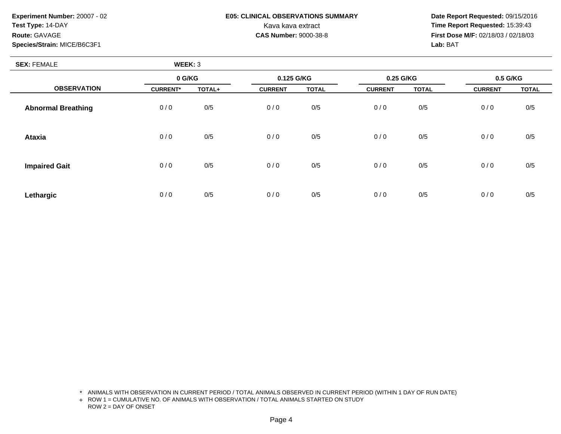# **E05: CLINICAL OBSERVATIONS SUMMARY**

 **Date Report Requested:** 09/15/2016 Kava kava extract **Time Report Requested:** 15:39:43<br>**CAS Number:** 9000-38-8 **Time Report Requested:** 15:39:43 **First Dose M/F:** 02/18/03 / 02/18/03<br>Lab: BAT **Lab:** BAT

| <b>SEX: FEMALE</b>        | WEEK: 3         |        |                |              |                |              |                |              |
|---------------------------|-----------------|--------|----------------|--------------|----------------|--------------|----------------|--------------|
|                           | 0 G/KG          |        | 0.125 G/KG     |              | 0.25 G/KG      |              | 0.5 G/KG       |              |
| <b>OBSERVATION</b>        | <b>CURRENT*</b> | TOTAL+ | <b>CURRENT</b> | <b>TOTAL</b> | <b>CURRENT</b> | <b>TOTAL</b> | <b>CURRENT</b> | <b>TOTAL</b> |
| <b>Abnormal Breathing</b> | 0/0             | 0/5    | 0/0            | 0/5          | 0/0            | 0/5          | 0/0            | 0/5          |
| <b>Ataxia</b>             | 0/0             | 0/5    | 0/0            | 0/5          | 0/0            | 0/5          | 0/0            | 0/5          |
| <b>Impaired Gait</b>      | 0/0             | 0/5    | 0/0            | 0/5          | 0/0            | 0/5          | 0/0            | 0/5          |
| Lethargic                 | 0/0             | 0/5    | 0/0            | 0/5          | 0/0            | 0/5          | 0/0            | 0/5          |

\* ANIMALS WITH OBSERVATION IN CURRENT PERIOD / TOTAL ANIMALS OBSERVED IN CURRENT PERIOD (WITHIN 1 DAY OF RUN DATE)